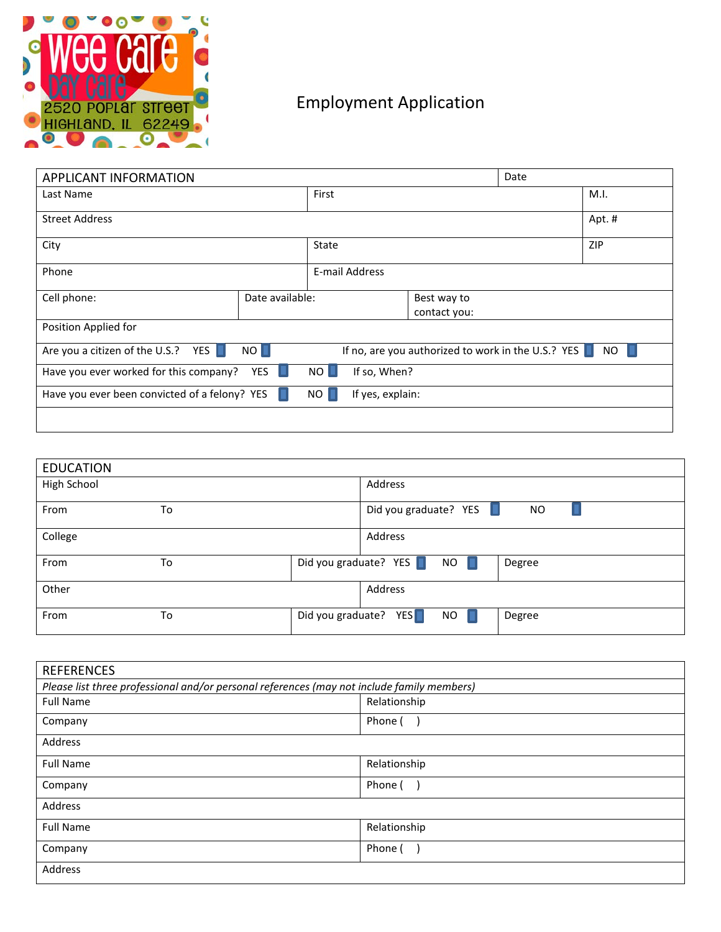

## Employment Application

| <b>APPLICANT INFORMATION</b>                                                                                            |                 |                         | Date |        |            |  |
|-------------------------------------------------------------------------------------------------------------------------|-----------------|-------------------------|------|--------|------------|--|
| Last Name                                                                                                               |                 | First                   |      |        | M.I.       |  |
| <b>Street Address</b>                                                                                                   |                 |                         |      | Apt. # |            |  |
| City                                                                                                                    |                 | State                   |      |        | <b>ZIP</b> |  |
| Phone                                                                                                                   |                 | E-mail Address          |      |        |            |  |
| Cell phone:                                                                                                             | Date available: | Best way to             |      |        |            |  |
|                                                                                                                         |                 | contact you:            |      |        |            |  |
| Position Applied for                                                                                                    |                 |                         |      |        |            |  |
| Are you a citizen of the U.S.? YES $\Box$<br>NO II<br>If no, are you authorized to work in the U.S.? YES $\Box$<br>NO . |                 |                         |      |        |            |  |
| YES L<br>Have you ever worked for this company?<br>$NO$ $\Box$<br>If so, When?                                          |                 |                         |      |        |            |  |
| Have you ever been convicted of a felony? YES                                                                           |                 | NO.<br>If yes, explain: |      |        |            |  |
|                                                                                                                         |                 |                         |      |        |            |  |

| <b>EDUCATION</b> |    |                                    |           |
|------------------|----|------------------------------------|-----------|
| High School      |    | Address                            |           |
| From             | To | Did you graduate? YES              | <b>NO</b> |
| College          |    | Address                            |           |
| From             | To | Did you graduate? $YES$<br>NO      | Degree    |
| Other            |    | Address                            |           |
| From             | To | Did you graduate? YES<br><b>NO</b> | Degree    |

| <b>REFERENCES</b>                                                                          |              |  |  |  |
|--------------------------------------------------------------------------------------------|--------------|--|--|--|
| Please list three professional and/or personal references (may not include family members) |              |  |  |  |
| <b>Full Name</b>                                                                           | Relationship |  |  |  |
| Company                                                                                    | Phone (      |  |  |  |
| Address                                                                                    |              |  |  |  |
| <b>Full Name</b>                                                                           | Relationship |  |  |  |
| Company                                                                                    | Phone (      |  |  |  |
| Address                                                                                    |              |  |  |  |
| <b>Full Name</b>                                                                           | Relationship |  |  |  |
| Company                                                                                    | Phone (      |  |  |  |
| Address                                                                                    |              |  |  |  |